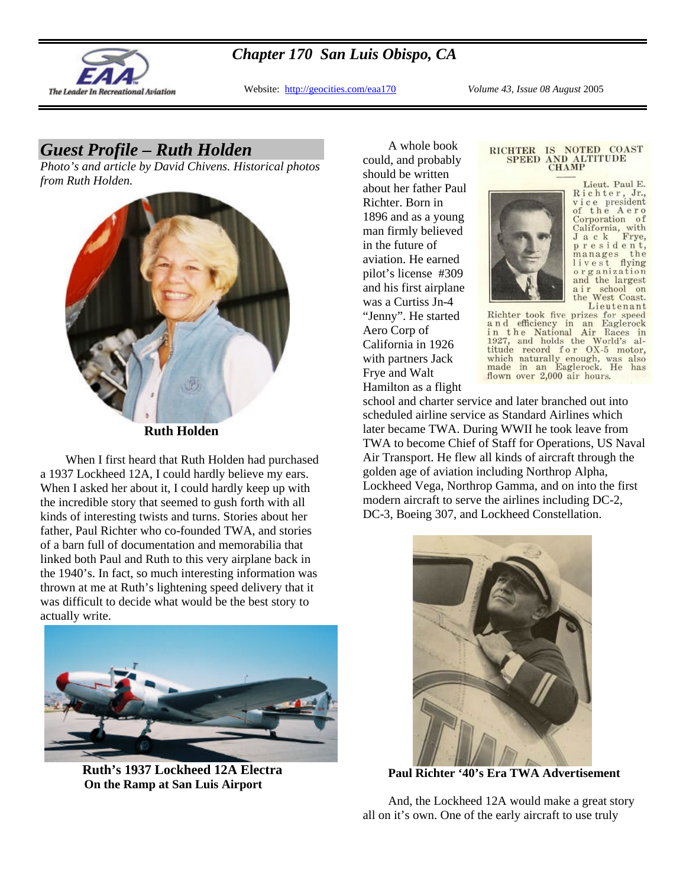

### *Chapter 170 San Luis Obispo, CA*

Website: http://geocities.com/eaa170 *Volume 43, Issue 08 August* 2005

# *Guest Profile – Ruth Holden*

*Photo's and article by David Chivens. Historical photos from Ruth Holden.*



**Ruth Holden** 

When I first heard that Ruth Holden had purchased a 1937 Lockheed 12A, I could hardly believe my ears. When I asked her about it, I could hardly keep up with the incredible story that seemed to gush forth with all kinds of interesting twists and turns. Stories about her father, Paul Richter who co-founded TWA, and stories of a barn full of documentation and memorabilia that linked both Paul and Ruth to this very airplane back in the 1940's. In fact, so much interesting information was thrown at me at Ruth's lightening speed delivery that it was difficult to decide what would be the best story to actually write.



 **Ruth's 1937 Lockheed 12A Electra On the Ramp at San Luis Airport**

A whole book could, and probably should be written about her father Paul Richter. Born in 1896 and as a young man firmly believed in the future of aviation. He earned pilot's license #309 and his first airplane was a Curtiss Jn-4 "Jenny". He started Aero Corp of California in 1926 with partners Jack Frye and Walt Hamilton as a flight

#### RICHTER IS NOTED COAST **SPEED AND ALTITUDE CHAMP**



Lieut. Paul E. Richter, Jr., vice president the Aero of Corporation of California, with<br>J a c k Frye, president, manages the flying livest organization and the largest a i r school on<br>the West Coast. Lieutenant

Richter took five prizes for speed and efficiency in an Eaglerock a n d efficiency in an Eaglerock<br>in the National Air Races in<br>1927, and holds the World's al-<br>titude record f or OX-5 motor,<br>which naturally enough, was also<br>made in an Eaglerock. He has<br>flown over 2,000 air hours.

school and charter service and later branched out into scheduled airline service as Standard Airlines which later became TWA. During WWII he took leave from TWA to become Chief of Staff for Operations, US Naval Air Transport. He flew all kinds of aircraft through the golden age of aviation including Northrop Alpha, Lockheed Vega, Northrop Gamma, and on into the first modern aircraft to serve the airlines including DC-2, DC-3, Boeing 307, and Lockheed Constellation.



**Paul Richter '40's Era TWA Advertisement**

And, the Lockheed 12A would make a great story all on it's own. One of the early aircraft to use truly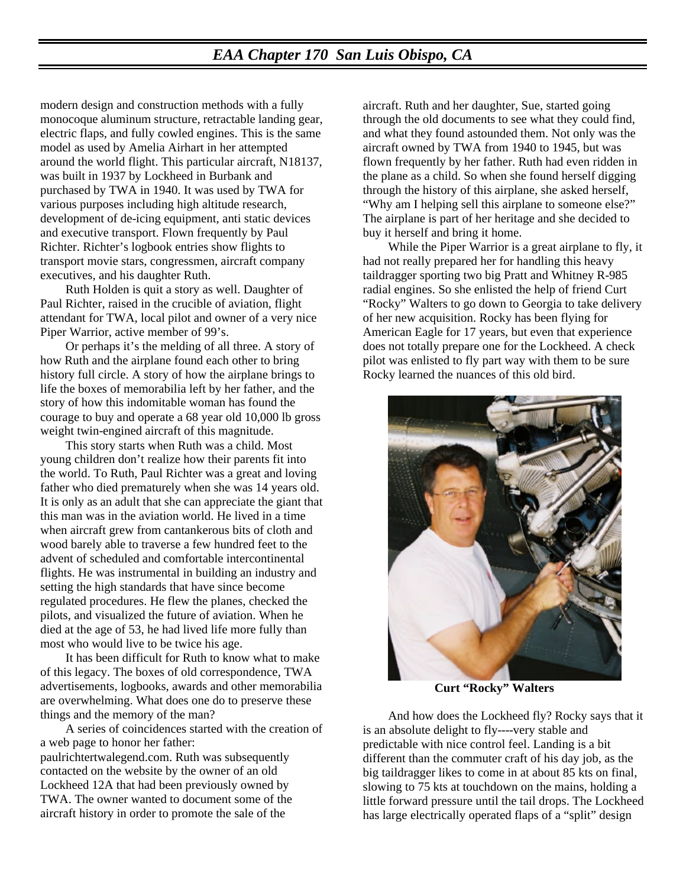### *EAA Chapter 170 San Luis Obispo, CA*

modern design and construction methods with a fully monocoque aluminum structure, retractable landing gear, electric flaps, and fully cowled engines. This is the same model as used by Amelia Airhart in her attempted around the world flight. This particular aircraft, N18137, was built in 1937 by Lockheed in Burbank and purchased by TWA in 1940. It was used by TWA for various purposes including high altitude research, development of de-icing equipment, anti static devices and executive transport. Flown frequently by Paul Richter. Richter's logbook entries show flights to transport movie stars, congressmen, aircraft company executives, and his daughter Ruth.

Ruth Holden is quit a story as well. Daughter of Paul Richter, raised in the crucible of aviation, flight attendant for TWA, local pilot and owner of a very nice Piper Warrior, active member of 99's.

Or perhaps it's the melding of all three. A story of how Ruth and the airplane found each other to bring history full circle. A story of how the airplane brings to life the boxes of memorabilia left by her father, and the story of how this indomitable woman has found the courage to buy and operate a 68 year old 10,000 lb gross weight twin-engined aircraft of this magnitude.

This story starts when Ruth was a child. Most young children don't realize how their parents fit into the world. To Ruth, Paul Richter was a great and loving father who died prematurely when she was 14 years old. It is only as an adult that she can appreciate the giant that this man was in the aviation world. He lived in a time when aircraft grew from cantankerous bits of cloth and wood barely able to traverse a few hundred feet to the advent of scheduled and comfortable intercontinental flights. He was instrumental in building an industry and setting the high standards that have since become regulated procedures. He flew the planes, checked the pilots, and visualized the future of aviation. When he died at the age of 53, he had lived life more fully than most who would live to be twice his age.

It has been difficult for Ruth to know what to make of this legacy. The boxes of old correspondence, TWA advertisements, logbooks, awards and other memorabilia are overwhelming. What does one do to preserve these things and the memory of the man?

A series of coincidences started with the creation of a web page to honor her father:

paulrichtertwalegend.com. Ruth was subsequently contacted on the website by the owner of an old Lockheed 12A that had been previously owned by TWA. The owner wanted to document some of the aircraft history in order to promote the sale of the

aircraft. Ruth and her daughter, Sue, started going through the old documents to see what they could find, and what they found astounded them. Not only was the aircraft owned by TWA from 1940 to 1945, but was flown frequently by her father. Ruth had even ridden in the plane as a child. So when she found herself digging through the history of this airplane, she asked herself, "Why am I helping sell this airplane to someone else?" The airplane is part of her heritage and she decided to buy it herself and bring it home.

While the Piper Warrior is a great airplane to fly, it had not really prepared her for handling this heavy taildragger sporting two big Pratt and Whitney R-985 radial engines. So she enlisted the help of friend Curt "Rocky" Walters to go down to Georgia to take delivery of her new acquisition. Rocky has been flying for American Eagle for 17 years, but even that experience does not totally prepare one for the Lockheed. A check pilot was enlisted to fly part way with them to be sure Rocky learned the nuances of this old bird.



 **Curt "Rocky" Walters**

And how does the Lockheed fly? Rocky says that it is an absolute delight to fly----very stable and predictable with nice control feel. Landing is a bit different than the commuter craft of his day job, as the big taildragger likes to come in at about 85 kts on final, slowing to 75 kts at touchdown on the mains, holding a little forward pressure until the tail drops. The Lockheed has large electrically operated flaps of a "split" design